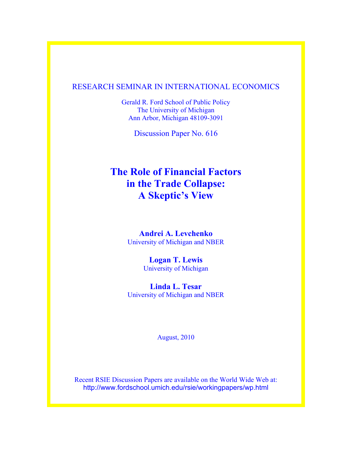## RESEARCH SEMINAR IN INTERNATIONAL ECONOMICS

Gerald R. Ford School of Public Policy The University of Michigan Ann Arbor, Michigan 48109-3091

Discussion Paper No. 616

# **The Role of Financial Factors in the Trade Collapse: A Skeptic's View**

**Andrei A. Levchenko** University of Michigan and NBER

> **Logan T. Lewis** University of Michigan

**Linda L. Tesar** University of Michigan and NBER

August, 2010

Recent RSIE Discussion Papers are available on the World Wide Web at: http://www.fordschool.umich.edu/rsie/workingpapers/wp.html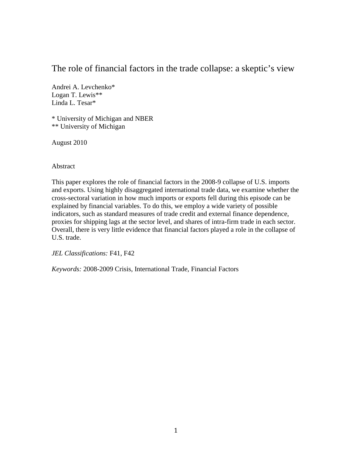## The role of financial factors in the trade collapse: a skeptic's view

Andrei A. Levchenko\* Logan T. Lewis\*\* Linda L. Tesar\*

\* University of Michigan and NBER \*\* University of Michigan

August 2010

Abstract

This paper explores the role of financial factors in the 2008-9 collapse of U.S. imports and exports. Using highly disaggregated international trade data, we examine whether the cross-sectoral variation in how much imports or exports fell during this episode can be explained by financial variables. To do this, we employ a wide variety of possible indicators, such as standard measures of trade credit and external finance dependence, proxies for shipping lags at the sector level, and shares of intra-firm trade in each sector. Overall, there is very little evidence that financial factors played a role in the collapse of U.S. trade.

*JEL Classifications:* F41, F42

*Keywords:* 2008-2009 Crisis, International Trade, Financial Factors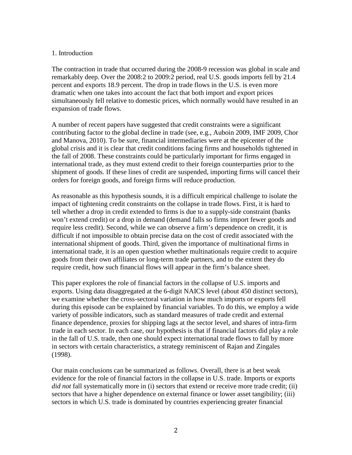#### 1. Introduction

The contraction in trade that occurred during the 2008-9 recession was global in scale and remarkably deep. Over the 2008:2 to 2009:2 period, real U.S. goods imports fell by 21.4 percent and exports 18.9 percent. The drop in trade flows in the U.S. is even more dramatic when one takes into account the fact that both import and export prices simultaneously fell relative to domestic prices, which normally would have resulted in an expansion of trade flows.

A number of recent papers have suggested that credit constraints were a significant contributing factor to the global decline in trade (see, e.g., Auboin 2009, IMF 2009, Chor and Manova, 2010). To be sure, financial intermediaries were at the epicenter of the global crisis and it is clear that credit conditions facing firms and households tightened in the fall of 2008. These constraints could be particularly important for firms engaged in international trade, as they must extend credit to their foreign counterparties prior to the shipment of goods. If these lines of credit are suspended, importing firms will cancel their orders for foreign goods, and foreign firms will reduce production.

As reasonable as this hypothesis sounds, it is a difficult empirical challenge to isolate the impact of tightening credit constraints on the collapse in trade flows. First, it is hard to tell whether a drop in credit extended to firms is due to a supply-side constraint (banks won't extend credit) or a drop in demand (demand falls so firms import fewer goods and require less credit). Second, while we can observe a firm's dependence on credit, it is difficult if not impossible to obtain precise data on the cost of credit associated with the international shipment of goods. Third, given the importance of multinational firms in international trade, it is an open question whether multinationals require credit to acquire goods from their own affiliates or long-term trade partners, and to the extent they do require credit, how such financial flows will appear in the firm's balance sheet.

This paper explores the role of financial factors in the collapse of U.S. imports and exports. Using data disaggregated at the 6-digit NAICS level (about 450 distinct sectors), we examine whether the cross-sectoral variation in how much imports or exports fell during this episode can be explained by financial variables. To do this, we employ a wide variety of possible indicators, such as standard measures of trade credit and external finance dependence, proxies for shipping lags at the sector level, and shares of intra-firm trade in each sector. In each case, our hypothesis is that if financial factors did play a role in the fall of U.S. trade, then one should expect international trade flows to fall by more in sectors with certain characteristics, a strategy reminiscent of Rajan and Zingales (1998).

Our main conclusions can be summarized as follows. Overall, there is at best weak evidence for the role of financial factors in the collapse in U.S. trade. Imports or exports *did not* fall systematically more in (i) sectors that extend or receive more trade credit; (ii) sectors that have a higher dependence on external finance or lower asset tangibility; (iii) sectors in which U.S. trade is dominated by countries experiencing greater financial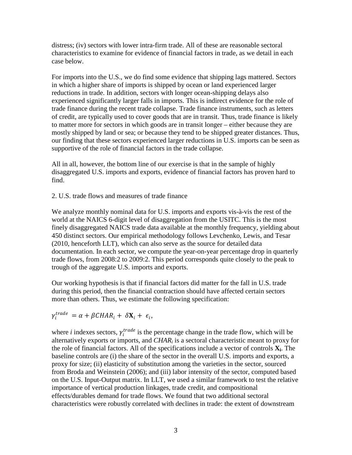distress; (iv) sectors with lower intra-firm trade. All of these are reasonable sectoral characteristics to examine for evidence of financial factors in trade, as we detail in each case below.

For imports into the U.S., we do find some evidence that shipping lags mattered. Sectors in which a higher share of imports is shipped by ocean or land experienced larger reductions in trade. In addition, sectors with longer ocean-shipping delays also experienced significantly larger falls in imports. This is indirect evidence for the role of trade finance during the recent trade collapse. Trade finance instruments, such as letters of credit, are typically used to cover goods that are in transit. Thus, trade finance is likely to matter more for sectors in which goods are in transit longer – either because they are mostly shipped by land or sea; or because they tend to be shipped greater distances. Thus, our finding that these sectors experienced larger reductions in U.S. imports can be seen as supportive of the role of financial factors in the trade collapse.

All in all, however, the bottom line of our exercise is that in the sample of highly disaggregated U.S. imports and exports, evidence of financial factors has proven hard to find.

2. U.S. trade flows and measures of trade finance

We analyze monthly nominal data for U.S. imports and exports vis-à-vis the rest of the world at the NAICS 6-digit level of disaggregation from the USITC. This is the most finely disaggregated NAICS trade data available at the monthly frequency, yielding about 450 distinct sectors. Our empirical methodology follows Levchenko, Lewis, and Tesar (2010, henceforth LLT), which can also serve as the source for detailed data documentation. In each sector, we compute the year-on-year percentage drop in quarterly trade flows, from 2008:2 to 2009:2. This period corresponds quite closely to the peak to trough of the aggregate U.S. imports and exports.

Our working hypothesis is that if financial factors did matter for the fall in U.S. trade during this period, then the financial contraction should have affected certain sectors more than others. Thus, we estimate the following specification:

 $\gamma_i^{trade} = \alpha + \beta CHAR_i + \delta \mathbf{X}_i + \epsilon_i,$ 

where *i* indexes sectors,  $\gamma_i^{trade}$  is the percentage change in the trade flow, which will be alternatively exports or imports, and *CHARi* is a sectoral characteristic meant to proxy for the role of financial factors. All of the specifications include a vector of controls **Xi**. The baseline controls are (i) the share of the sector in the overall U.S. imports and exports, a proxy for size; (ii) elasticity of substitution among the varieties in the sector, sourced from Broda and Weinstein (2006); and (iii) labor intensity of the sector, computed based on the U.S. Input-Output matrix. In LLT, we used a similar framework to test the relative importance of vertical production linkages, trade credit, and compositional effects/durables demand for trade flows. We found that two additional sectoral characteristics were robustly correlated with declines in trade: the extent of downstream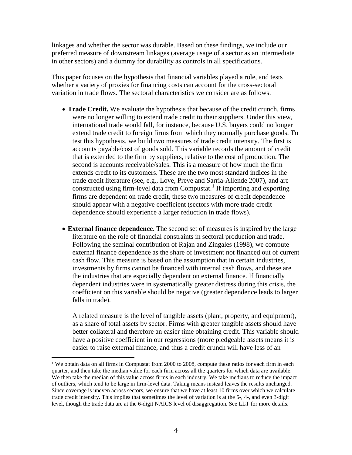linkages and whether the sector was durable. Based on these findings, we include our preferred measure of downstream linkages (average usage of a sector as an intermediate in other sectors) and a dummy for durability as controls in all specifications.

This paper focuses on the hypothesis that financial variables played a role, and tests whether a variety of proxies for financing costs can account for the cross-sectoral variation in trade flows. The sectoral characteristics we consider are as follows.

- **Trade Credit.** We evaluate the hypothesis that because of the credit crunch, firms were no longer willing to extend trade credit to their suppliers. Under this view, international trade would fall, for instance, because U.S. buyers could no longer extend trade credit to foreign firms from which they normally purchase goods. To test this hypothesis, we build two measures of trade credit intensity. The first is accounts payable/cost of goods sold. This variable records the amount of credit that is extended to the firm by suppliers, relative to the cost of production. The second is accounts receivable/sales. This is a measure of how much the firm extends credit to its customers. These are the two most standard indices in the trade credit literature (see, e.g., Love, Preve and Sarria-Allende 2007), and are constructed using firm-level data from Compustat.<sup>[1](#page-4-0)</sup> If importing and exporting firms are dependent on trade credit, these two measures of credit dependence should appear with a negative coefficient (sectors with more trade credit dependence should experience a larger reduction in trade flows).
- **External finance dependence.** The second set of measures is inspired by the large literature on the role of financial constraints in sectoral production and trade. Following the seminal contribution of Rajan and Zingales (1998), we compute external finance dependence as the share of investment not financed out of current cash flow. This measure is based on the assumption that in certain industries, investments by firms cannot be financed with internal cash flows, and these are the industries that are especially dependent on external finance. If financially dependent industries were in systematically greater distress during this crisis, the coefficient on this variable should be negative (greater dependence leads to larger falls in trade).

A related measure is the level of tangible assets (plant, property, and equipment), as a share of total assets by sector. Firms with greater tangible assets should have better collateral and therefore an easier time obtaining credit. This variable should have a positive coefficient in our regressions (more pledgeable assets means it is easier to raise external finance, and thus a credit crunch will have less of an

<span id="page-4-0"></span><sup>&</sup>lt;sup>1</sup> We obtain data on all firms in Compustat from 2000 to 2008, compute these ratios for each firm in each quarter, and then take the median value for each firm across all the quarters for which data are available. We then take the median of this value across firms in each industry. We take medians to reduce the impact of outliers, which tend to be large in firm-level data. Taking means instead leaves the results unchanged. Since coverage is uneven across sectors, we ensure that we have at least 10 firms over which we calculate trade credit intensity. This implies that sometimes the level of variation is at the 5-, 4-, and even 3-digit level, though the trade data are at the 6-digit NAICS level of disaggregation. See LLT for more details.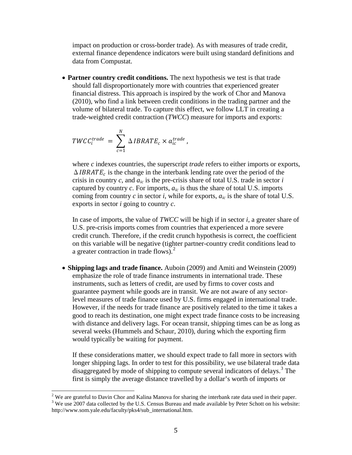impact on production or cross-border trade). As with measures of trade credit, external finance dependence indicators were built using standard definitions and data from Compustat.

• **Partner country credit conditions.** The next hypothesis we test is that trade should fall disproportionately more with countries that experienced greater financial distress. This approach is inspired by the work of Chor and Manova (2010), who find a link between credit conditions in the trading partner and the volume of bilateral trade. To capture this effect, we follow LLT in creating a trade-weighted credit contraction (*TWCC*) measure for imports and exports:

$$
TWCC_i^{trade} = \sum_{c=1}^{N} \Delta IBRATE_c \times a_{ic}^{trade},
$$

where *c* indexes countries, the superscript *trade* refers to either imports or exports,  $\triangle IBRATE_c$  is the change in the interbank lending rate over the period of the crisis in country  $c$ , and  $a_{ic}$  is the pre-crisis share of total U.S. trade in sector  $i$ captured by country *c*. For imports, *aic* is thus the share of total U.S. imports coming from country  $c$  in sector  $i$ , while for exports,  $a_{ic}$  is the share of total U.S. exports in sector *i* going to country *c*.

In case of imports, the value of *TWCC* will be high if in sector *i*, a greater share of U.S. pre-crisis imports comes from countries that experienced a more severe credit crunch. Therefore, if the credit crunch hypothesis is correct, the coefficient on this variable will be negative (tighter partner-country credit conditions lead to a greater contraction in trade flows).<sup>[2](#page-5-0)</sup>

• **Shipping lags and trade finance.** Auboin (2009) and Amiti and Weinstein (2009) emphasize the role of trade finance instruments in international trade. These instruments, such as letters of credit, are used by firms to cover costs and guarantee payment while goods are in transit. We are not aware of any sectorlevel measures of trade finance used by U.S. firms engaged in international trade. However, if the needs for trade finance are positively related to the time it takes a good to reach its destination, one might expect trade finance costs to be increasing with distance and delivery lags. For ocean transit, shipping times can be as long as several weeks (Hummels and Schaur, 2010), during which the exporting firm would typically be waiting for payment.

If these considerations matter, we should expect trade to fall more in sectors with longer shipping lags. In order to test for this possibility, we use bilateral trade data disaggregated by mode of shipping to compute several indicators of delays.<sup>[3](#page-5-1)</sup> The first is simply the average distance travelled by a dollar's worth of imports or

<span id="page-5-1"></span><span id="page-5-0"></span><sup>&</sup>lt;sup>2</sup> We are grateful to Davin Chor and Kalina Manova for sharing the interbank rate data used in their paper. <sup>3</sup> We use 2007 data collected by the U.S. Census Bureau and made available by Peter Schott on his website: http://www.som.yale.edu/faculty/pks4/sub\_international.htm.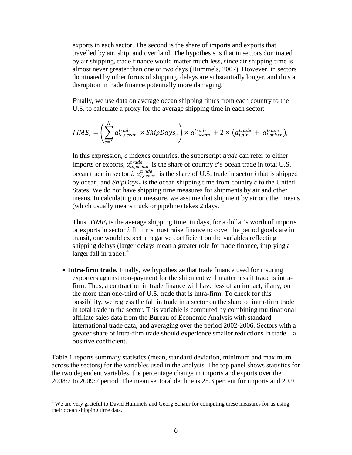exports in each sector. The second is the share of imports and exports that travelled by air, ship, and over land. The hypothesis is that in sectors dominated by air shipping, trade finance would matter much less, since air shipping time is almost never greater than one or two days (Hummels, 2007). However, in sectors dominated by other forms of shipping, delays are substantially longer, and thus a disruption in trade finance potentially more damaging.

Finally, we use data on average ocean shipping times from each country to the U.S. to calculate a proxy for the average shipping time in each sector:

$$
TIME_{i} = \left(\sum_{c=1}^{N} a_{ic, ocean}^{trade} \times ShipDays_{c}\right) \times a_{i, ocean}^{trade} + 2 \times \left(a_{i, air}^{trade} + a_{i, other}^{trade}\right),
$$

In this expression, *c* indexes countries, the superscript *trade* can refer to either imports or exports,  $a_{ic, ocean}^{trade}$  is the share of country *c*'s ocean trade in total U.S. ocean trade in sector *i*,  $a_{i, ocean}^{trade}$  is the share of U.S. trade in sector *i* that is shipped by ocean, and  $\frac{ShipDays_c}{s}$  is the ocean shipping time from country *c* to the United States. We do not have shipping time measures for shipments by air and other means. In calculating our measure, we assume that shipment by air or other means (which usually means truck or pipeline) takes 2 days.

Thus, *TIMEi* is the average shipping time, in days, for a dollar's worth of imports or exports in sector *i*. If firms must raise finance to cover the period goods are in transit, one would expect a negative coefficient on the variables reflecting shipping delays (larger delays mean a greater role for trade finance, implying a larger fall in trade).<sup>[4](#page-6-0)</sup>

• **Intra-firm trade.** Finally, we hypothesize that trade finance used for insuring exporters against non-payment for the shipment will matter less if trade is intrafirm. Thus, a contraction in trade finance will have less of an impact, if any, on the more than one-third of U.S. trade that is intra-firm. To check for this possibility, we regress the fall in trade in a sector on the share of intra-firm trade in total trade in the sector. This variable is computed by combining multinational affiliate sales data from the Bureau of Economic Analysis with standard international trade data, and averaging over the period 2002-2006. Sectors with a greater share of intra-firm trade should experience smaller reductions in trade – a positive coefficient.

Table 1 reports summary statistics (mean, standard deviation, minimum and maximum across the sectors) for the variables used in the analysis. The top panel shows statistics for the two dependent variables, the percentage change in imports and exports over the 2008:2 to 2009:2 period. The mean sectoral decline is 25.3 percent for imports and 20.9

<span id="page-6-0"></span> $4$  We are very grateful to David Hummels and Georg Schaur for computing these measures for us using their ocean shipping time data.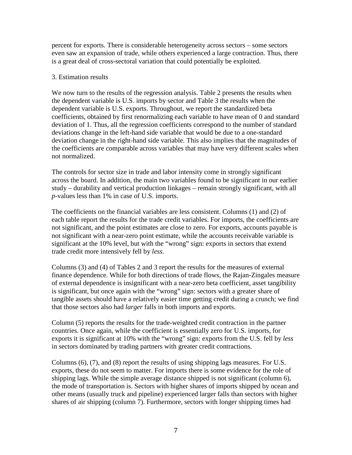percent for exports. There is considerable heterogeneity across sectors – some sectors even saw an expansion of trade, while others experienced a large contraction. Thus, there is a great deal of cross-sectoral variation that could potentially be exploited.

#### 3. Estimation results

We now turn to the results of the regression analysis. Table 2 presents the results when the dependent variable is U.S. imports by sector and Table 3 the results when the dependent variable is U.S. exports. Throughout, we report the standardized beta coefficients, obtained by first renormalizing each variable to have mean of 0 and standard deviation of 1. Thus, all the regression coefficients correspond to the number of standard deviations change in the left-hand side variable that would be due to a one-standard deviation change in the right-hand side variable. This also implies that the magnitudes of the coefficients are comparable across variables that may have very different scales when not normalized.

The controls for sector size in trade and labor intensity come in strongly significant across the board. In addition, the main two variables found to be significant in our earlier study – durability and vertical production linkages – remain strongly significant, with all *p*-values less than 1% in case of U.S. imports.

The coefficients on the financial variables are less consistent. Columns (1) and (2) of each table report the results for the trade credit variables. For imports, the coefficients are not significant, and the point estimates are close to zero. For exports, accounts payable is not significant with a near-zero point estimate, while the accounts receivable variable is significant at the 10% level, but with the "wrong" sign: exports in sectors that extend trade credit more intensively fell by *less*.

Columns (3) and (4) of Tables 2 and 3 report the results for the measures of external finance dependence. While for both directions of trade flows, the Rajan-Zingales measure of external dependence is insignificant with a near-zero beta coefficient, asset tangibility is significant, but once again with the "wrong" sign: sectors with a greater share of tangible assets should have a relatively easier time getting credit during a crunch; we find that those sectors also had *larger* falls in both imports and exports.

Column (5) reports the results for the trade-weighted credit contraction in the partner countries. Once again, while the coefficient is essentially zero for U.S. imports, for exports it is significant at 10% with the "wrong" sign: exports from the U.S. fell by *less* in sectors dominated by trading partners with greater credit contractions.

Columns (6), (7), and (8) report the results of using shipping lags measures. For U.S. exports, these do not seem to matter. For imports there is some evidence for the role of shipping lags. While the simple average distance shipped is not significant (column 6), the mode of transportation is. Sectors with higher shares of imports shipped by ocean and other means (usually truck and pipeline) experienced larger falls than sectors with higher shares of air shipping (column 7). Furthermore, sectors with longer shipping times had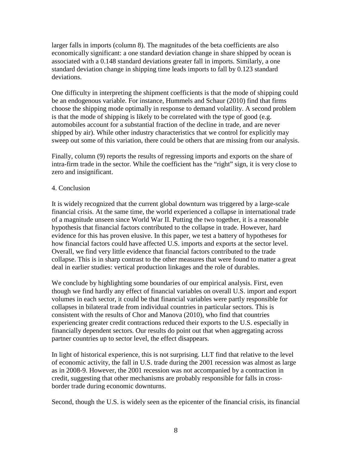larger falls in imports (column 8). The magnitudes of the beta coefficients are also economically significant: a one standard deviation change in share shipped by ocean is associated with a 0.148 standard deviations greater fall in imports. Similarly, a one standard deviation change in shipping time leads imports to fall by 0.123 standard deviations.

One difficulty in interpreting the shipment coefficients is that the mode of shipping could be an endogenous variable. For instance, Hummels and Schaur (2010) find that firms choose the shipping mode optimally in response to demand volatility. A second problem is that the mode of shipping is likely to be correlated with the type of good (e.g. automobiles account for a substantial fraction of the decline in trade, and are never shipped by air). While other industry characteristics that we control for explicitly may sweep out some of this variation, there could be others that are missing from our analysis.

Finally, column (9) reports the results of regressing imports and exports on the share of intra-firm trade in the sector. While the coefficient has the "right" sign, it is very close to zero and insignificant.

### 4. Conclusion

It is widely recognized that the current global downturn was triggered by a large-scale financial crisis. At the same time, the world experienced a collapse in international trade of a magnitude unseen since World War II. Putting the two together, it is a reasonable hypothesis that financial factors contributed to the collapse in trade. However, hard evidence for this has proven elusive. In this paper, we test a battery of hypotheses for how financial factors could have affected U.S. imports and exports at the sector level. Overall, we find very little evidence that financial factors contributed to the trade collapse. This is in sharp contrast to the other measures that were found to matter a great deal in earlier studies: vertical production linkages and the role of durables.

We conclude by highlighting some boundaries of our empirical analysis. First, even though we find hardly any effect of financial variables on overall U.S. import and export volumes in each sector, it could be that financial variables were partly responsible for collapses in bilateral trade from individual countries in particular sectors. This is consistent with the results of Chor and Manova (2010), who find that countries experiencing greater credit contractions reduced their exports to the U.S. especially in financially dependent sectors. Our results do point out that when aggregating across partner countries up to sector level, the effect disappears.

In light of historical experience, this is not surprising. LLT find that relative to the level of economic activity, the fall in U.S. trade during the 2001 recession was almost as large as in 2008-9. However, the 2001 recession was not accompanied by a contraction in credit, suggesting that other mechanisms are probably responsible for falls in crossborder trade during economic downturns.

Second, though the U.S. is widely seen as the epicenter of the financial crisis, its financial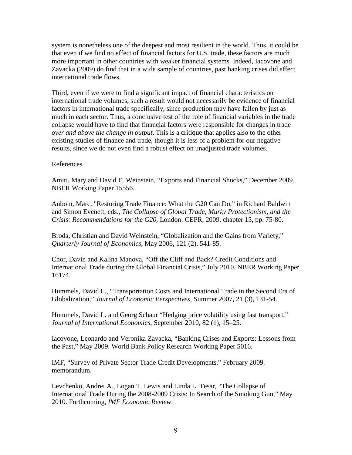system is nonetheless one of the deepest and most resilient in the world. Thus, it could be that even if we find no effect of financial factors for U.S. trade, these factors are much more important in other countries with weaker financial systems. Indeed, Iacovone and Zavacka (2009) do find that in a wide sample of countries, past banking crises did affect international trade flows.

Third, even if we were to find a significant impact of financial characteristics on international trade volumes, such a result would not necessarily be evidence of financial factors in international trade specifically, since production may have fallen by just as much in each sector. Thus, a conclusive test of the role of financial variables in the trade collapse would have to find that financial factors were responsible for changes in trade *over and above the change in output*. This is a critique that applies also to the other existing studies of finance and trade, though it is less of a problem for our negative results, since we do not even find a robust effect on unadjusted trade volumes.

#### References

Amiti, Mary and David E. Weinstein, "Exports and Financial Shocks," December 2009. NBER Working Paper 15556.

Auboin, Marc, "Restoring Trade Finance: What the G20 Can Do," in Richard Baldwin and Simon Evenett, eds., *The Collapse of Global Trade, Murky Protectionism, and the Crisis: Recommendations for the G20*, London: CEPR, 2009, chapter 15, pp. 75-80.

Broda, Christian and David Weinstein, "Globalization and the Gains from Variety," *Quarterly Journal of Economics*, May 2006, 121 (2), 541-85.

Chor, Davin and Kalina Manova, "Off the Cliff and Back? Credit Conditions and International Trade during the Global Financial Crisis," July 2010. NBER Working Paper 16174.

Hummels, David L., "Transportation Costs and International Trade in the Second Era of Globalization," *Journal of Economic Perspectives*, Summer 2007, 21 (3), 131-54.

Hummels, David L. and Georg Schaur "Hedging price volatility using fast transport," *Journal of International Economics*, September 2010, 82 (1), 15–25.

Iacovone, Leonardo and Veronika Zavacka, "Banking Crises and Exports: Lessons from the Past," May 2009. World Bank Policy Research Working Paper 5016.

IMF, "Survey of Private Sector Trade Credit Developments," February 2009. memorandum.

Levchenko, Andrei A., Logan T. Lewis and Linda L. Tesar, "The Collapse of International Trade During the 2008-2009 Crisis: In Search of the Smoking Gun," May 2010. Forthcoming, *IMF Economic Review*.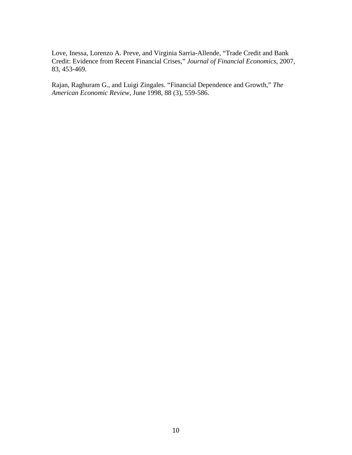Love, Inessa, Lorenzo A. Preve, and Virginia Sarria-Allende, "Trade Credit and Bank Credit: Evidence from Recent Financial Crises," *Journal of Financial Economics*, 2007, 83, 453-469.

Rajan, Raghuram G., and Luigi Zingales. "Financial Dependence and Growth," *The American Economic Review*, June 1998, 88 (3), 559-586.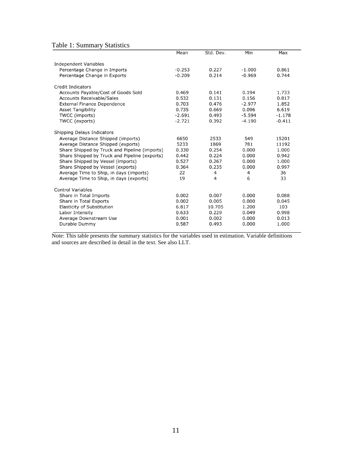## Table 1: Summary Statistics

|                                               | Mean     | Std. Dev. | Min      | Max      |
|-----------------------------------------------|----------|-----------|----------|----------|
|                                               |          |           |          |          |
| Independent Variables                         |          |           |          |          |
| Percentage Change in Imports                  | $-0.253$ | 0.227     | $-1.000$ | 0.861    |
| Percentage Change in Exports                  | $-0.209$ | 0.214     | $-0.969$ | 0.744    |
| Credit Indicators                             |          |           |          |          |
| Accounts Payable/Cost of Goods Sold           | 0.469    | 0.141     | 0.194    | 1.733    |
| <b>Accounts Receivable/Sales</b>              | 0.532    | 0.131     | 0.156    | 0.817    |
| <b>External Finance Dependence</b>            | 0.703    | 0.476     | $-2.977$ | 1.852    |
| <b>Asset Tangibility</b>                      | 0.735    | 0.669     | 0.096    | 6.619    |
| TWCC (imports)                                | $-2.691$ | 0.493     | $-5.594$ | $-1.178$ |
| TWCC (exports)                                | $-2.721$ | 0.392     | $-4.190$ | $-0.411$ |
| Shipping Delays Indicators                    |          |           |          |          |
| Average Distance Shipped (imports)            | 6650     | 2533      | 549      | 15201    |
| Average Distance Shipped (exports)            | 5233     | 1869      | 781      | 11192    |
| Share Shipped by Truck and Pipeline (imports) | 0.330    | 0.254     | 0.000    | 1.000    |
| Share Shipped by Truck and Pipeline (exports) | 0.442    | 0.224     | 0.000    | 0.942    |
| Share Shipped by Vessel (imports)             | 0.527    | 0.267     | 0.000    | 1.000    |
| Share Shipped by Vessel (exports)             | 0.364    | 0.235     | 0.000    | 0.997    |
| Average Time to Ship, in days (imports)       | 22       | 4         | 4        | 36       |
| Average Time to Ship, in days (exports)       | 19       | 4         | 6        | 33       |
| <b>Control Variables</b>                      |          |           |          |          |
| Share in Total Imports                        | 0.002    | 0.007     | 0.000    | 0.088    |
| Share in Total Exports                        | 0.002    | 0.005     | 0.000    | 0.045    |
| Elasticity of Substitution                    | 6.817    | 10.705    | 1.200    | 103      |
| Labor Intensity                               | 0.633    | 0.229     | 0.049    | 0.998    |
| Average Downstream Use                        | 0.001    | 0.002     | 0.000    | 0.013    |
| Durable Dummy                                 | 0.587    | 0.493     | 0.000    | 1.000    |
|                                               |          |           |          |          |

Note: This table presents the summary statistics for the variables used in estimation. Variable definitions and sources are described in detail in the text. See also LLT.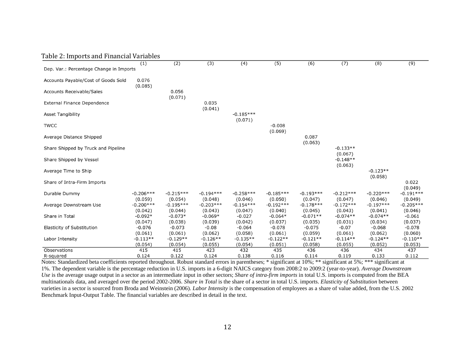#### Table 2: Imports and Financial Variables

| 0.010 = 1.111p 01 to 0.11th 1.11th.101th | (1)                    | (2)                    | $\overline{(3)}$       | (4)                    | $\overline{(5)}$       | $\overline{(6)}$       | (7)                    | (8)                    | (9)                    |
|------------------------------------------|------------------------|------------------------|------------------------|------------------------|------------------------|------------------------|------------------------|------------------------|------------------------|
| Dep. Var.: Percentage Change in Imports  |                        |                        |                        |                        |                        |                        |                        |                        |                        |
| Accounts Payable/Cost of Goods Sold      | 0.076<br>(0.085)       |                        |                        |                        |                        |                        |                        |                        |                        |
| <b>Accounts Receivable/Sales</b>         |                        | 0.056<br>(0.071)       |                        |                        |                        |                        |                        |                        |                        |
| <b>External Finance Dependence</b>       |                        |                        | 0.035<br>(0.041)       |                        |                        |                        |                        |                        |                        |
| <b>Asset Tangibility</b>                 |                        |                        |                        | $-0.185***$<br>(0.071) |                        |                        |                        |                        |                        |
| <b>TWCC</b>                              |                        |                        |                        |                        | $-0.008$<br>(0.069)    |                        |                        |                        |                        |
| Average Distance Shipped                 |                        |                        |                        |                        |                        | 0.087<br>(0.063)       |                        |                        |                        |
| Share Shipped by Truck and Pipeline      |                        |                        |                        |                        |                        |                        | $-0.133**$<br>(0.067)  |                        |                        |
| Share Shipped by Vessel                  |                        |                        |                        |                        |                        |                        | $-0.148**$<br>(0.063)  |                        |                        |
| Average Time to Ship                     |                        |                        |                        |                        |                        |                        |                        | $-0.123**$<br>(0.058)  |                        |
| Share of Intra-Firm Imports              |                        |                        |                        |                        |                        |                        |                        |                        | 0.022<br>(0.049)       |
| Durable Dummy                            | $-0.206***$<br>(0.059) | $-0.215***$<br>(0.054) | $-0.194***$<br>(0.048) | $-0.258***$<br>(0.046) | $-0.185***$<br>(0.050) | $-0.193***$<br>(0.047) | $-0.212***$<br>(0.047) | $-0.220***$<br>(0.046) | $-0.191***$<br>(0.049) |
| Average Downstream Use                   | $-0.200***$<br>(0.042) | $-0.195***$<br>(0.044) | $-0.203***$<br>(0.043) | $-0.154***$<br>(0.047) | $-0.192***$<br>(0.040) | $-0.178***$<br>(0.045) | $-0.172***$<br>(0.043) | $-0.197***$<br>(0.041) | $-0.205***$<br>(0.046) |
| Share in Total                           | $-0.092*$<br>(0.047)   | $-0.073*$<br>(0.038)   | $-0.069*$<br>(0.039)   | $-0.027$<br>(0.042)    | $-0.064*$<br>(0.037)   | $-0.071**$<br>(0.035)  | $-0.074**$<br>(0.031)  | $-0.074**$<br>(0.034)  | $-0.061$<br>(0.037)    |
| Elasticity of Substitution               | $-0.076$<br>(0.061)    | $-0.073$<br>(0.061)    | $-0.08$<br>(0.062)     | $-0.064$<br>(0.058)    | $-0.078$<br>(0.061)    | $-0.075$<br>(0.059)    | $-0.07$<br>(0.061)     | $-0.068$<br>(0.062)    | $-0.078$<br>(0.060)    |
| Labor Intensity                          | $-0.113**$<br>(0.054)  | $-0.129**$<br>(0.054)  | $-0.126**$<br>(0.055)  | $-0.135**$<br>(0.054)  | $-0.122**$<br>(0.051)  | $-0.121**$<br>(0.058)  | $-0.114**$<br>(0.055)  | $-0.124**$<br>(0.052)  | $-0.110**$<br>(0.053)  |
| Observations                             | 415                    | 415                    | 423                    | 432                    | 435                    | 436                    | 436                    | 434                    | 437                    |
| R-squared                                | 0.124                  | 0.122                  | 0.124                  | 0.138                  | 0.116                  | 0.114                  | 0.119                  | 0.133                  | 0.112                  |

Notes: Standardized beta coefficients reported throughout. Robust standard errors in parentheses; \* significant at 10%; \*\* significant at 5%; \*\*\* significant at 1%. The dependent variable is the percentage reduction in U.S. imports in a 6-digit NAICS category from 2008:2 to 2009:2 (year-to-year). *Average Downstream Use* is the average usage output in a sector as an intermediate input in other sectors; *Share of intra-firm imports* in total U.S. imports is computed from the BEA multinationals data, and averaged over the period 2002-2006. *Share in Total* is the share of a sector in total U.S. imports. *Elasticity of Substitution* between varieties in a sector is sourced from Broda and Weinstein (2006). *Labor Intensity* is the compensation of employees as a share of value added, from the U.S. 2002 Benchmark Input-Output Table. The financial variables are described in detail in the text.